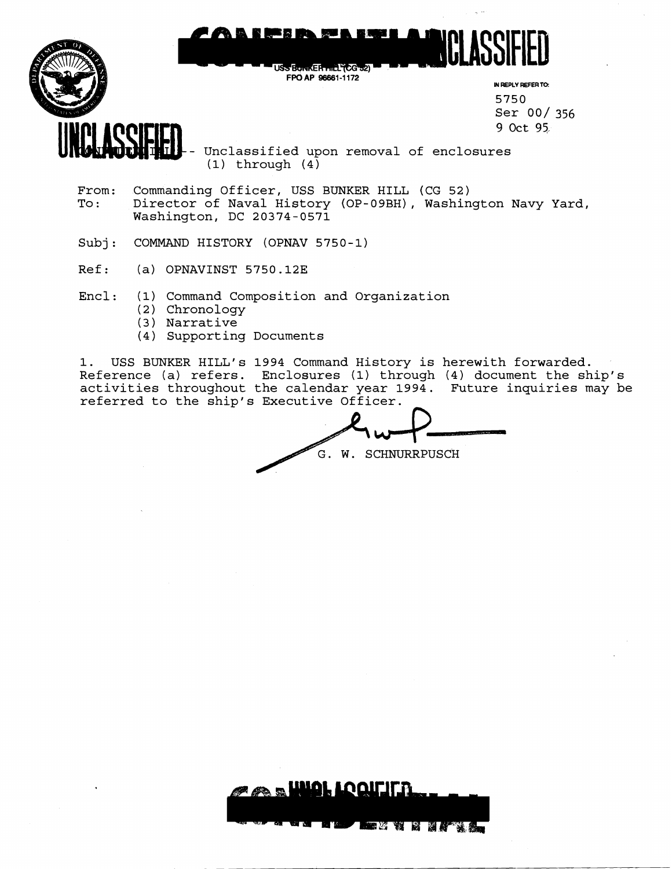

- From: Commanding Officer, USS BUNKER HILL (CG 52)<br>To: Director of Naval History (OP-09RH), Washin Director of Naval History (OP-09BH), Washington Navy Yard, Washington, DC 20374-0571
- Subj: COMMAND HISTORY (OPNAV 5750-1)
- Ref: (a) OPNAVINST 5750.12E

Encl: (1) Command Composition and Organization

- (2) Chronology
- (3 ) Narrative
- (4) Supporting Documents

1. USS BUNKER HILL'S 1994 Command History is herewith forwarded. Reference (a) refers. Enclosures (1) through (4) document the ship's activities throughout the calendar year 1994. Future inquiries may be referred to the ship's Executive Officer.

. W. SCHNURRPUSCH story is herewith<br>through (4) docum<br>ar 1994. Future is<br>cer.<br>CHNURRPUSCH

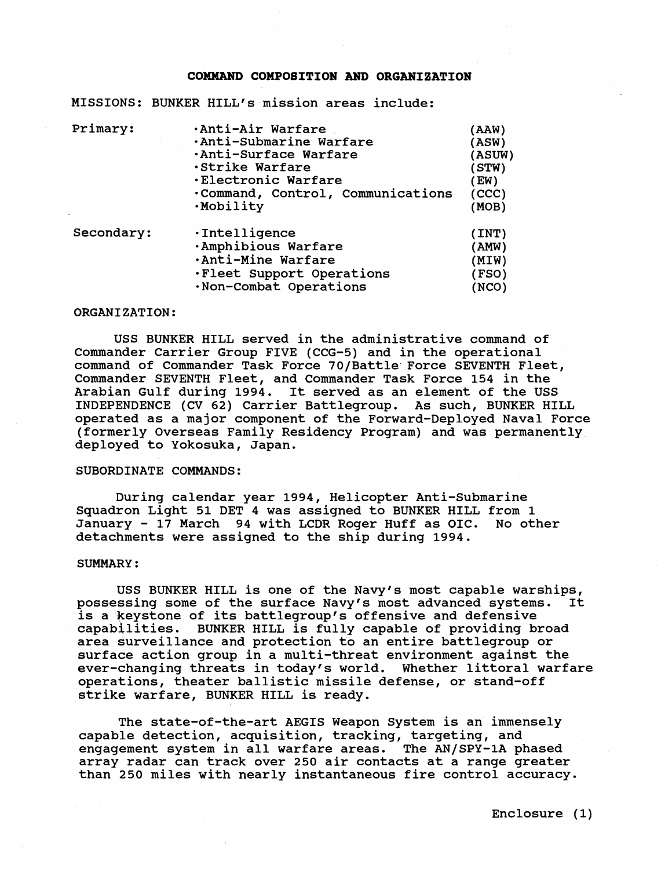#### **COMMAND COMPOSITION AND ORGANIZATION**

MISSIONS: BUNKER HILL'S mission areas include:

| (AAW)                                     |
|-------------------------------------------|
| (ASW)                                     |
| (ASUW)                                    |
| (STW)                                     |
| EW)                                       |
| Command, Control, Communications<br>(CCC) |
| (MOB)                                     |
| (INT)                                     |
| (AMW)                                     |
| (MIW)                                     |
| . Fleet Support Operations<br>FSO)        |
| <b>NCO</b>                                |
|                                           |

#### ORGANIZATION:

USS BUNKER HILL served in the administrative command of Commander Carrier Group FIVE (CCG-5) and in the operational command of Commander Task Force 70/Battle Force SEVENTH Fleet, Commander SEVENTH Fleet, and Commander Task Force 154 in the Arabian Gulf during 1994. It served as an element of the USS INDEPENDENCE (CV 62) Carrier Battlegroup. As such, BUNKER HILL operated as a major component of the Forward-Deployed Naval Force (formerly Overseas Family Residency Program) and was permanently deployed to Yokosuka, Japan.

## SUBORDINATE COMMANDS:

During calendar year 1994, Helicopter Anti-Submarine Squadron Light 51 DET 4 was assigned to BUNKER HILL from 1 January - 17 March 94 with LCDR Roger Huff as OIC. No other detachments were assigned to the ship during 1994.

#### SUMMARY :

USS BUNKER HILL is one of the Navy's most capable warships,<br>ssing some of the surface Navy's most advanced systems. It possessing some of the surface Navy's most advanced systems. is a keystone of its battlegroup's offensive and defensive capabilities. BUNKER HILL is fully capable of providing broad area surveillance and protection to an entire battlegroup or surface action group in a multi-threat environment against the ever-changing threats in today's world. Whether littoral warfare operations, theater ballistic missile defense, or stand-off strike warfare, BUNKER HILL is ready.

The state-of-the-art AEGIS Weapon System is an immensely capable detection, acquisition, tracking, targeting, and engagement system in all warfare areas. The AN/SPY-1A phased array radar can track over 250 air contacts at a range greater than 250 miles with nearly instantaneous fire control accuracy.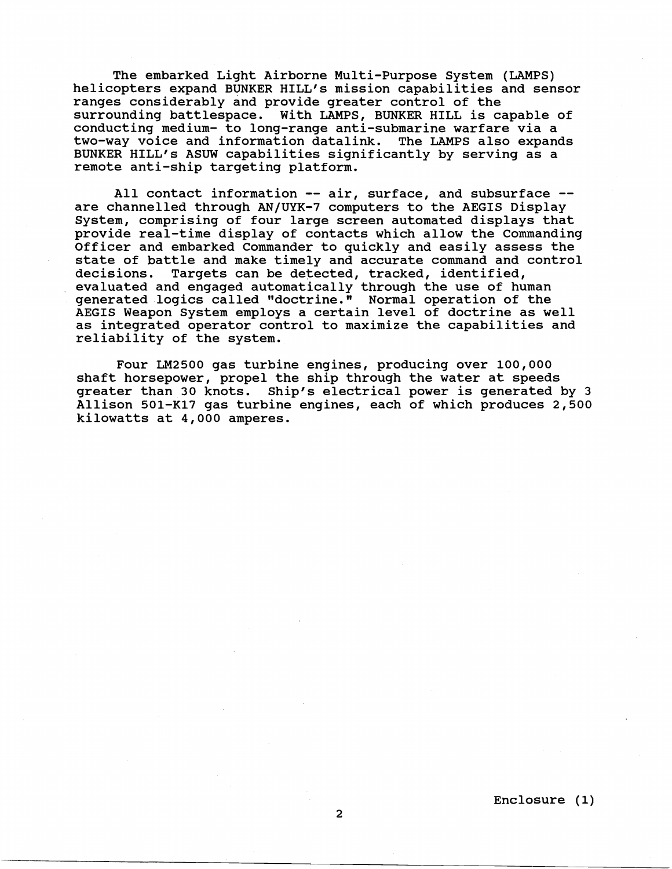The embarked Light Airborne Multi-Purpose System (LAMPS) helicopters expand BUNKER HILL'S mission capabilities and sensor ranges considerably and provide greater control of the surrounding battlespace. With LAMPS, BUNKER HILL is capable of conducting medium- to long-range anti-submarine warfare via a two-way voice and information datalink. BUNKER HILL'S ASUW capabilities significantly by serving as a remote anti-ship targeting platform.

All contact information -- air, surface, and subsurface -are channelled through AN/UYK-7 computers to the AEGIS Display System, comprising of four large screen automated displays that provide real-time display of contacts which allow the Commanding Officer and embarked Commander to quickly and easily assess the state of battle and make timely and accurate command and control<br>decisions. Targets can be detected, tracked, identified, Targets can be detected, tracked, identified, evaluated and engaged automatically through the use of human generated logics called "doctrine." Normal operation of the AEGIS Weapon System employs a certain level of doctrine as well as integrated operator control to maximize the capabilities and reliability of the system.

Four LM2500 gas turbine engines, producing over 100,000 shaft horsepower, propel the ship through the water at speeds greater than 30 knots. Ship's electrical power is generated by 3 Allison 501-K17 gas turbine engines, each of which produces 2,500 kilowatts at 4,000 amperes.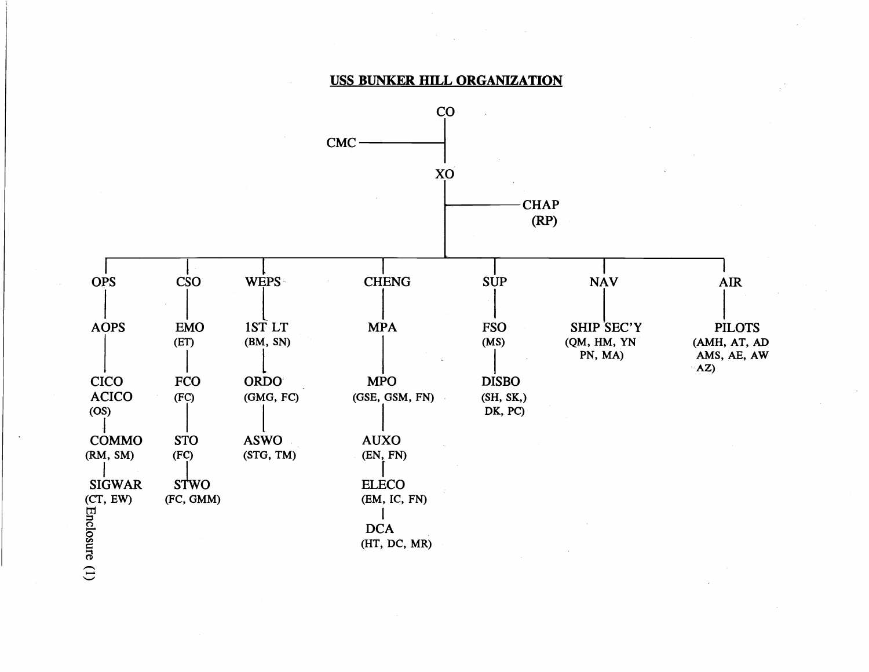# USS BUNKER HILL ORGANIZATION

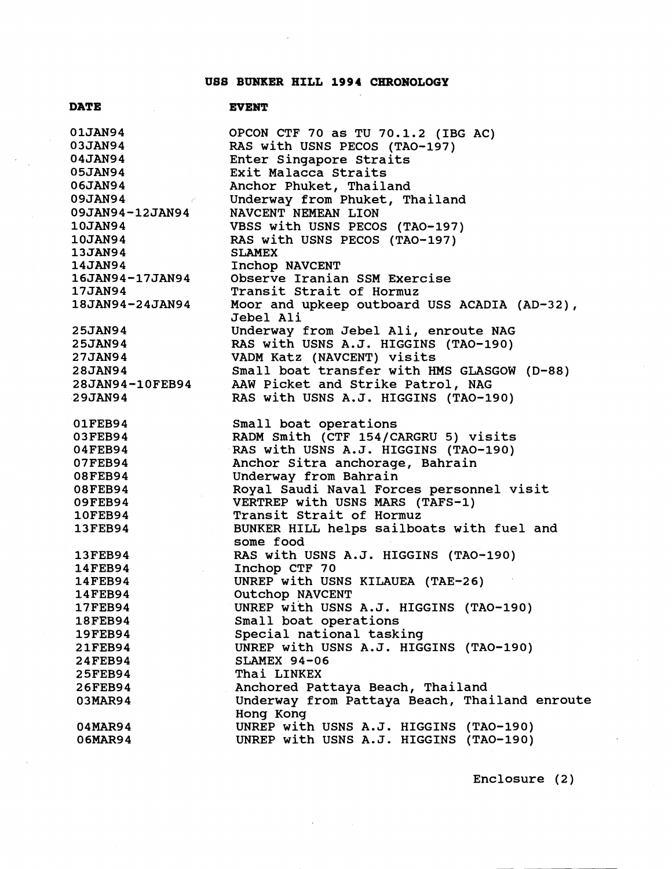# **US8 BUNKER HILL 1994 CHRONOLOGY**

| <b>DATE</b>                     | <b>EVENT</b>                                  |
|---------------------------------|-----------------------------------------------|
| <b>01JAN94</b>                  | OPCON CTF 70 as TU 70.1.2 (IBG AC)            |
| <b>03JAN94</b>                  | RAS with USNS PECOS (TAO-197)                 |
| <b>04JAN94</b>                  | Enter Singapore Straits                       |
| <b>05JAN94</b>                  | Exit Malacca Straits                          |
| <b>06JAN94</b>                  | Anchor Phuket, Thailand                       |
| <b>09JAN94</b><br>$\sim$ $\sim$ | Underway from Phuket, Thailand                |
| <b>09JAN94-12JAN94</b>          | NAVCENT NEMEAN LION                           |
| <b>10JAN94</b>                  | VBSS with USNS PECOS (TAO-197)                |
| <b>10JAN94</b>                  | RAS with USNS PECOS (TAO-197)                 |
| <b>13JAN94</b>                  | <b>SLAMEX</b>                                 |
| <b>14JAN94</b>                  | Inchop NAVCENT                                |
| <b>16JAN94-17JAN94</b>          | Observe Iranian SSM Exercise                  |
| 17JAN94                         | Transit Strait of Hormuz                      |
| 18JAN94-24JAN94                 | Moor and upkeep outboard USS ACADIA (AD-32),  |
|                                 | Jebel Ali                                     |
| <b>25JAN94</b>                  | Underway from Jebel Ali, enroute NAG          |
| <b>25JAN94</b>                  | RAS with USNS A.J. HIGGINS (TAO-190)          |
| <b>27JAN94</b>                  | VADM Katz (NAVCENT) visits                    |
| <b>28JAN94</b>                  | Small boat transfer with HMS GLASGOW (D-88)   |
| <b>28JAN94-10FEB94</b>          | AAW Picket and Strike Patrol, NAG             |
| 29JAN94                         | RAS with USNS A.J. HIGGINS (TAO-190)          |
| 01FEB94                         | Small boat operations                         |
| 03FEB94                         | RADM Smith (CTF 154/CARGRU 5) visits          |
| 04FEB94                         | RAS with USNS A.J. HIGGINS (TAO-190)          |
| 07FEB94                         | Anchor Sitra anchorage, Bahrain               |
| 08FEB94                         | Underway from Bahrain                         |
| 08FEB94                         | Royal Saudi Naval Forces personnel visit      |
| 09FEB94                         | VERTREP with USNS MARS (TAFS-1)               |
| <b>10FEB94</b>                  | Transit Strait of Hormuz                      |
| <b>13FEB94</b>                  | BUNKER HILL helps sailboats with fuel and     |
|                                 | some food                                     |
| <b>13FEB94</b>                  | RAS with USNS A.J. HIGGINS (TAO-190)          |
| <b>14FEB94</b>                  | Inchop CTF 70                                 |
| 14FEB94                         | UNREP with USNS KILAUEA (TAE-26)              |
| <b>14FEB94</b>                  | Outchop NAVCENT                               |
| <b>17FEB94</b>                  | UNREP with USNS A.J. HIGGINS (TAO-190)        |
| <b>18FEB94</b>                  | Small boat operations                         |
| <b>19FEB94</b>                  | Special national tasking                      |
| 21FEB94                         | UNREP with USNS A.J. HIGGINS (TAO-190)        |
| <b>24FEB94</b>                  | <b>SLAMEX 94-06</b>                           |
| <b>25FEB94</b>                  | Thai LINKEX                                   |
| <b>26FEB94</b>                  | Anchored Pattaya Beach, Thailand              |
| 03MAR94                         | Underway from Pattaya Beach, Thailand enroute |
|                                 | Hong Kong                                     |
| 04MAR94                         | UNREP with USNS A.J. HIGGINS (TAO-190)        |
| 06MAR94                         | UNREP with USNS A.J. HIGGINS (TAO-190)        |

 $\hat{\mathbf{r}}$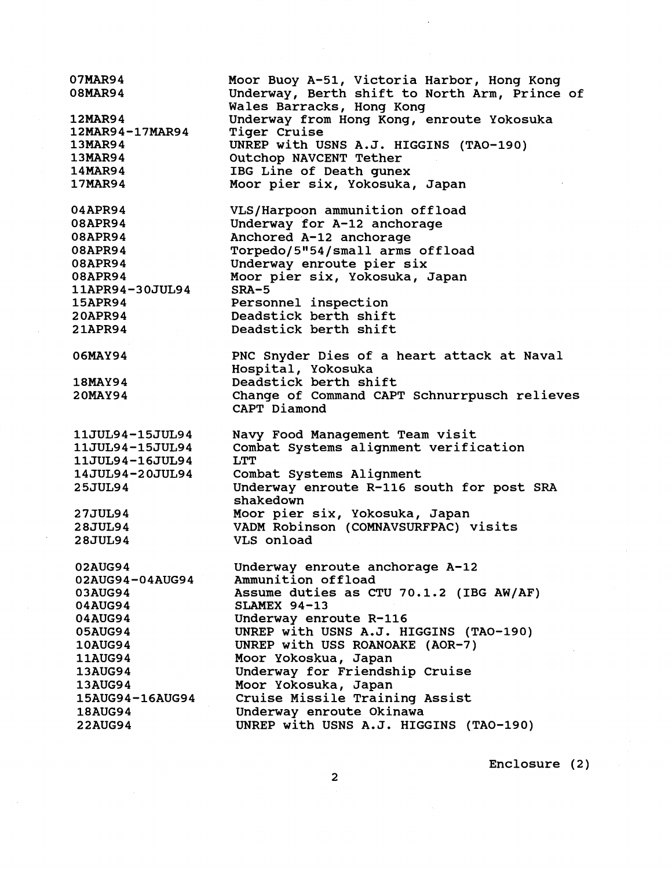07MAR94 Moor Buoy A-51, Victoria Harbor, Hong Kong **08MAR94** Underway, Berth shift to North Arm, Prince of Wales Barracks, Hong Kong **12MAR94** Underway from Hong Kong, enroute Yokosuka 12MAR94-17MAR94 Tiger Cruise UNREP with USNS A.J. HIGGINS (TAO-190) 13MAR94 13MAR94 Outchop NAVCENT Tether **14MAR94** IBG Line of Death gunex 17MAR94 Moor pier six, Yokosuka, Japan VLS/Harpoon ammunition offload 04APR94 08APR94 Underway for A-12 anchorage Anchored A-12 anchorage 08APR94 08APR94 Torpedo/5"54/small arms offload 08APR94 Underway enroute pier six 08APR94 Moor pier six, Yokosuka, Japan 11APR94-30JUL94 SRA-5 **15APR94** Personnel inspection **20APR94** Deadstick berth shift Deadstick berth shift 21APR94 PNC Snyder Dies of a heart attack at Naval 06MAY94 Hospital, Yokosuka Deadstick berth shift **18MAY94** Change of Command CAPT Schnurrpusch relieves **20MAY94** CAPT Diamond Navy Food Management Team visit 11JUL94-15JUL94 11JUL94-15JUL94 Combat Systems alignment verification 11JUL94-16JUL94 LTT 14JUL94-20JUL94 Combat Systems Alignment **25JUL94** Underway enroute R-116 south for post SRA shakedown 27JUL94 Moor pier six, Yokosuka, Japan VADM Robinson (COMNAVSURFPAC) visits 28JUL94 **28JUL94** VLS onload 02AUG94 Underway enroute anchorage A-12 02AUG94-04AUG94 Ammunition offload Assume duties as CTU 70.1.2 (IBG AW/AF) 03AUG94 04AUG94 **SLAMEX** 94-13 04AUG94 Underway enroute R-116 UNREP with USNS A.J. HIGGINS (TAO-190) 05AUG94 **10AUG94** UNREP with USS ROANOAKE (AOR-7) **11AUG94** Moor Yokoskua, Japan 13AUG94 Underway for Friendship Cruise Moor Yokosuka, Japan 13AUG94 Cruise Missile Training Assist 15AUG94-16AUG94 **18AUG94** Underway enroute Okinawa **22AUG94** UNREP with USNS A.J. HIGGINS (TAO-190)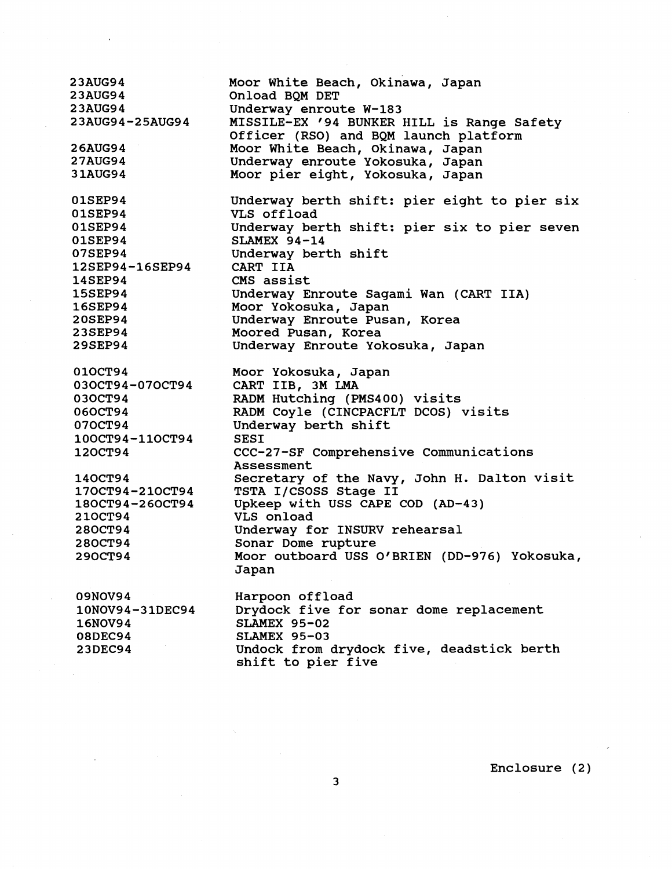23AUG94 Moor White Beach, Okinawa, Japan **23AUG94** Onload BQM DET 23AUG94 Underway enroute W-183 23AUG94-25AUG94 MISSILE-EX '94 BUNKER HILL is Range Safety Officer (RSO) and BQM launch platform **26AUG94** Moor White Beach, Okinawa, Japan **27AUG94** Underway enroute Yokosuka, Japan 31AUG94 Moor pier eight, Yokosuka, Japan 01SEP94 Underway berth shift: pier eight to pier six 01SEP94 VLS offload 01SEP94 Underway berth shift: pier six to pier seven 01SEP94 SLAMEX 94-14 07SEP94 Underway berth shift 12SEP94-16SEP94 CART IIA **14SEP94** CMS assist 15SEP94 Underway Enroute Sagami Wan (CART IIA) **16SEP94** Moor Yokosuka, Japan **20SEP94** Underway Enroute Pusan, Korea **23SEP94** Moored Pusan, Korea **29SEP94** Underway Enroute Yokosuka, Japan 010CT94 Moor Yokosuka, Japan 030CT94-070CT94 CART IIB, 3M LMA 030CT94 RADM Hutching (PMS400) visits 060CT94 RADM Coyle (CINCPACFLT DCOS) visits Underway berth shift 070CT94 100CT94-110CT94 SESI 120CT94 CCC-27-SF Comprehensive Communications Assessment 140CT94 Secretary of the Navy, John H. Dalton visit TSTA I/CSOSS Stage I1 170CT94-210CT94 180CT94-260CT94 Upkeep with USS CAPE COD (AD-43) 210CT94 VLS onload 280CT94 Underway for INSURV rehearsal 280CT94 Sonar Dome rupture Moor outboard USS O'BRIEN (DD-976) Yokosuka, 290CT94 Japan 09NOV94 Harpoon offload Drydock five for sonar dome replacement 10NOV94-31DEC94 16NOV94 SLAMEX 95-02 SLAMEX 95-03 **08DEC94** Undock from drydock five, deadstick berth **23DEC94** shift to pier five

Enclosure (2)

 $\overline{\mathbf{3}}$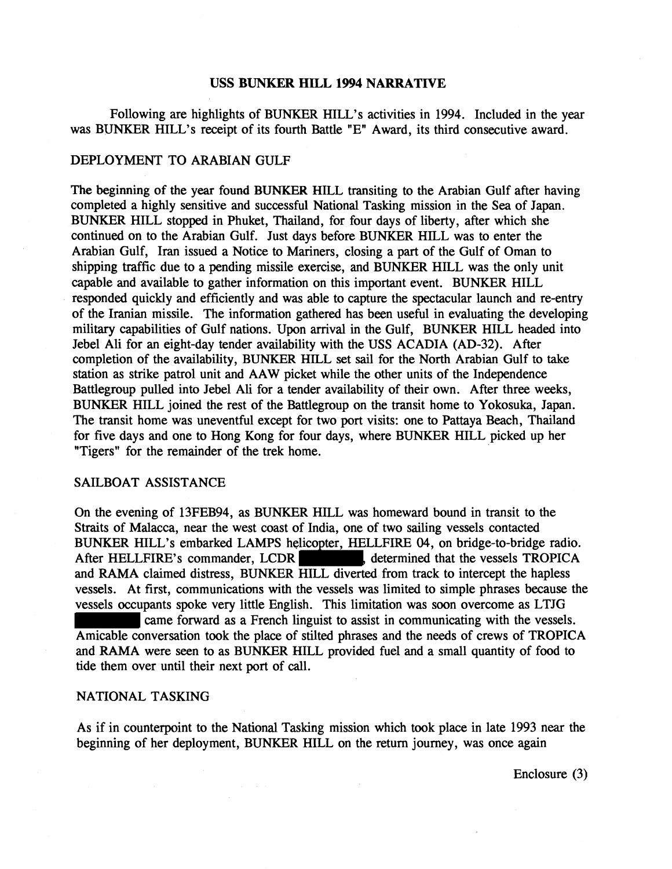### **USS BUNKER HILL 1994 NARRATIVE**

Following are highlights of BUNKER HILL's activities in 1994. Included in the year was BUNKER HILL's receipt of its fourth Battle "E" Award, its third consecutive award.

## DEPLOYMENT TO ARABIAN GULF

The beginning of the year found BUNKER HILL transiting to the Arabian Gulf after having completed a highly sensitive and successful National Tasking mission in the Sea of Japan. BUNKER HILL stopped in Phuket, Thailand, for four days of liberty, after which she continued on to the Arabian Gulf. Just days before BUNKER HILL was to enter the Arabian Gulf, Iran issued a Notice to Mariners, closing a part of the Gulf of Oman to shipping traffic due to a pending missile exercise, and BUNKER HILL was the only unit capable and available to gather information on this important event. BUNKER HILL responded quickly and efficiently and was able to capture the spectacular launch and re-entry of the Iranian missile. The information gathered has been useful in evaluating the developing military capabilities of Gulf nations. Upon arrival in the Gulf, BUNKER HILL headed into Jebel Ali for an eight-day tender availability with the USS ACADIA (AD-32). After completion of the availability, BUNKER HILL set sail for the North Arabian Gulf to take station as strike patrol unit and AAW picket while the other units of the Independence Battlegroup pulled into Jebel Ali for a tender availability of their own. After three weeks, BUNKER HILL joined the rest of the Battlegroup on the transit home to Yokosuka, Japan. The transit home was uneventful except for two port visits: one to Pattaya Beach, Thailand for five days and one to Hong Kong for four days, where BUNKER HILL picked up her "Tigers" for the remainder of the trek home.

## SAILBOAT ASSISTANCE

On the evening of 13FEB94, as BUNKER HILL was homeward bound in transit to the Straits of Malacca, near the west coast of India, one of two sailing vessels contacted BUNKER HILL's embarked LAMPS helicopter, HELLFIRE 04, on bridge-to-bridge radio. After HELLFIRE's commander, LCDR , determined that the vessels TROPICA and RAMA claimed distress, BUNKER HILL diverted from track to intercept the hapless vessels. At first, communications with the vessels was limited to simple phrases because the vessels occupants spoke very little English. This limitation was soon overcome as LTJG came forward as a French linguist to assist in communicating with the vessels. Amicable conversation took the place of stilted phrases and the needs of crews of TROPICA

and RAMA were seen to as BUNKER HILL provided fuel and a small quantity of food to tide them over until their next port of call.

# NATIONAL TASKING

As if in counterpoint to the National Tasking mission which took place in late 1993 near the beginning of her deployment, BUNKER HILL on the return journey, was once again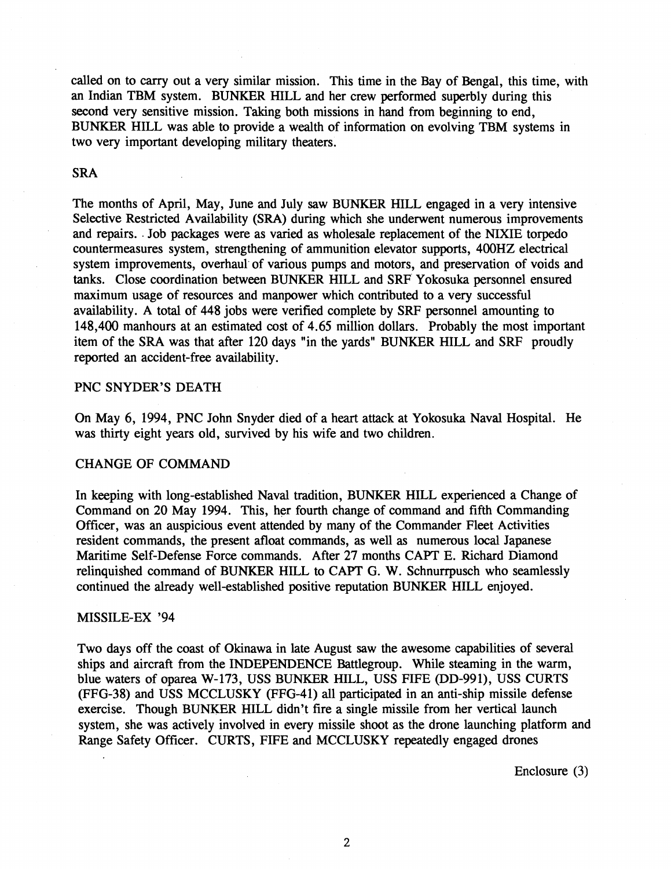called on to carry out a very similar mission. This time in the Bay of Bengal, this time, with an Indian TBM system. BUNKER HILL and her crew performed superbly during this second very sensitive mission. Taking both missions in hand from beginning to end, BUNKER HILL was able to provide a wealth of information on evolving TBM systems in two very important developing military theaters.

## SRA

The months of April, May, June and July saw BUNKER HILL engaged in a very intensive Selective Restricted Availability (SRA) during which she underwent numerous improvements and repairs. . Job packages were as varied as wholesale replacement of the NIXIE torpedo countermeasures system, strengthening of ammunition elevator supports, 400HZ electrical system improvements, overhaul' of various pumps and motors, and preservation of voids and tanks. Close coordination between BUNKER HILL and SRF Yokosuka personnel ensured maximum usage of resources and manpower which contributed to a very successful availability. A total of 448 jobs were verified complete by SRF personnel amounting to 148,400 manhours at an estimated cost of 4.65 million dollars. Probably the most important item of the SRA was that after 120 days "in the yards" BUNKER HILL and SRF proudly reported an accident-free availability.

## PNC SNYDER'S DEATH

On May 6, 1994, PNC John Snyder died of a heart attack at Yokosuka Naval Hospital. He was thirty eight years old, survived by his wife and two children.

#### CHANGE OF COMMAND

In keeping with long-established Naval tradition, BUNKER HILL experienced a Change of Command on 20 May 1994. This, her fourth change of command and fifth Commanding Officer, was an auspicious event attended by many of the Commander Fleet Activities resident commands, the present afloat commands, as well as numerous local Japanese Maritime Self-Defense Force commands. After 27 months CAPT E. Richard Diamond relinquished command of BUNKER HILL to CAPT G. W. Schnurrpusch who seamlessly continued the already well-established positive reputation BUNKER HILL enjoyed.

## MISSILE-EX '94

Two days off the coast of Okinawa in late August saw the awesome capabilities of several ships and aircraft from the INDEPENDENCE Battlegroup. While steaming in the warm, blue waters of oparea W-173, USS BUNKER HILL, USS FIFE OD-991), USS CURTS (FFG-38) and USS MCCLUSKY (FFG-41) all participated in an anti-ship missile defense exercise. Though BUNKER HILL didn't fire a single missile from her vertical launch system, she was actively involved in every missile shoot as the drone launching platform and Range Safety Officer. CURTS, FIFE and MCCLUSKY repeatedly engaged drones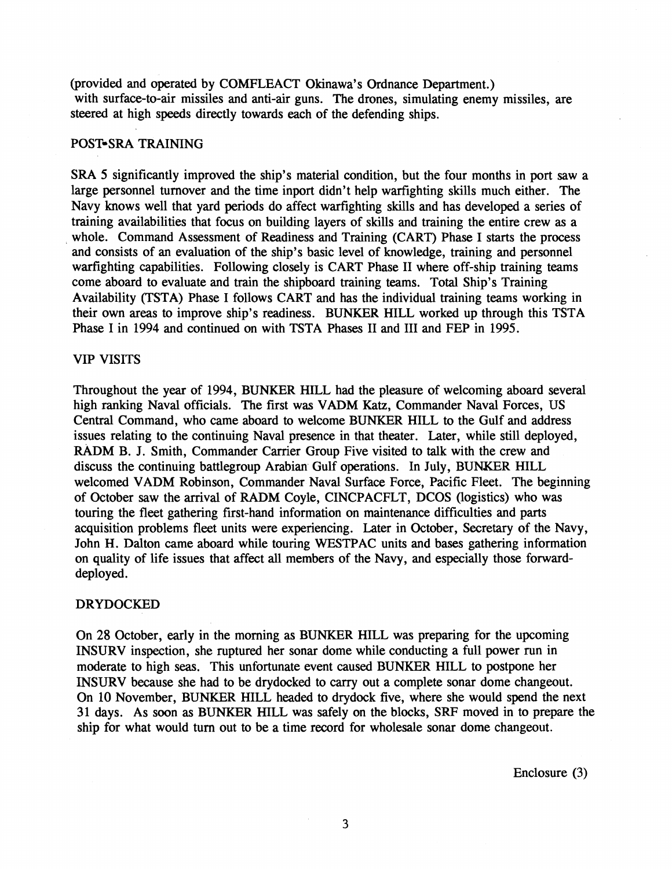(provided and operated by COMFLEACT Okinawa's Ordnance Department.) with surface-to-air missiles and anti-air guns. The drones, simulating enemy missiles, are steered at high speeds directly towards each of the defending ships.

## POST-SRA TRAINING

SRA 5 significantly improved the ship's material condition, but the four months in port saw a large personnel turnover and the time inport didn't help warfighting skills much either. The Navy knows well that yard periods do affect warfighting skills and has developed a series of training availabilities that focus on building layers of skills and training the entire crew as a whole. Command Assessment of Readiness and Training (CART) Phase I starts the process and consists of an evaluation of the ship's basic level of knowledge, training and personnel warfighting capabilities. Following closely is CART Phase I1 where off-ship training teams come aboard to evaluate and train the shipboard training teams. Total Ship's Training Availability (TSTA) Phase I follows CART and has the individual training teams working in their own areas to improve ship's readiness. BUNKER HILL worked up through this TSTA Phase I in 1994 and continued on with TSTA Phases I1 and I11 and FEP in 1995.

### **VIP** VISITS

Throughout the year of 1994, BUNKER HILL had the pleasure of welcoming aboard several high ranking Naval officials. The first was VADM Katz, Commander Naval Forces, US Central Command, who came aboard to welcome BUNKER HILL to the Gulf and address issues relating to the continuing Naval presence in that theater. Later, while still deployed, RADM B. J. Smith, Commander Carrier Group Five visited to talk with the crew and discuss the continuing battlegroup Arabian Gulf operations. In July, BUNKER HILL welcomed VADM Robinson, Commander Naval Surface Force, Pacific Fleet. The beginning of October saw the arrival of RADM Coyle, CINCPACFLT, DCOS (logistics) who was touring the fleet gathering first-hand information on maintenance difficulties and parts acquisition problems fleet units were experiencing. Later in October, Secretary of the Navy, John H. Dalton came aboard while touring WESTPAC units and bases gathering information on quality of life issues that affect **all** members of the Navy, and especially those forwarddeployed.

## DRYDOCKED

On 28 October, early in the morning as BUNKER HILL was preparing for the upcoming INSURV inspection, she ruptured her sonar dome while conducting a full power run in moderate to high seas. This unfortunate event caused BUNKER HILL to postpone her INSURV because she had to be drydocked to carry out a complete sonar dome changeout. On 10 November, BUNKER HILL headed to drydock five, where she would spend the next 31 days. As soon as BUNKER HILL was safely on the blocks, **SRF** moved in to prepare the ship for what would turn out to be a time record for wholesale sonar dome changeout.